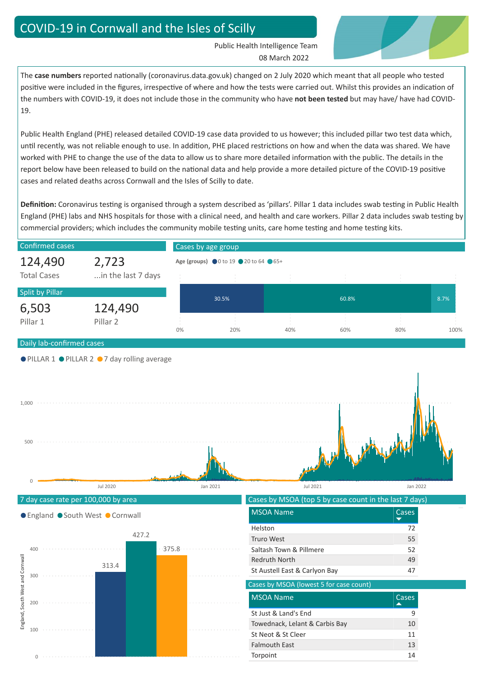Public Health Intelligence Team 08 March 2022

The case numbers reported nationally (coronavirus.data.gov.uk) changed on 2 July 2020 which meant that all people who tested positive were included in the figures, irrespective of where and how the tests were carried out. Whilst this provides an indication of the numbers with COVID-19, it does not include those in the community who have **not been tested** but may have/ have had COVID-19.

Public Health England (PHE) released detailed COVID-19 case data provided to us however; this included pillar two test data which, until recently, was not reliable enough to use. In addition, PHE placed restrictions on how and when the data was shared. We have worked with PHE to change the use of the data to allow us to share more detailed information with the public. The details in the report below have been released to build on the national data and help provide a more detailed picture of the COVID-19 positive cases and related deaths across Cornwall and the Isles of Scilly to date.

**Definition:** Coronavirus testing is organised through a system described as 'pillars'. Pillar 1 data includes swab testing in Public Health England (PHE) labs and NHS hospitals for those with a clinical need, and health and care workers. Pillar 2 data includes swab testing by commercial providers; which includes the community mobile testing units, care home testing and home testing kits.